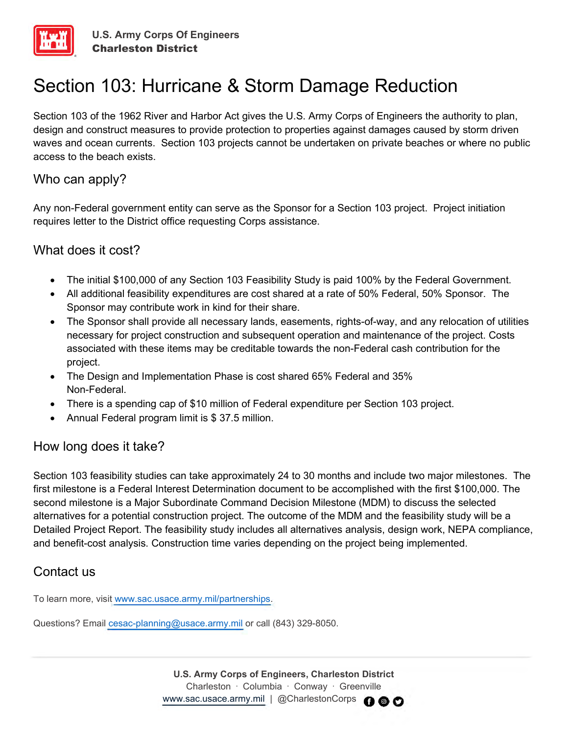

# Section 103: Hurricane & Storm Damage Reduction

Section 103 of the 1962 River and Harbor Act gives the U.S. Army Corps of Engineers the authority to plan, design and construct measures to provide protection to properties against damages caused by storm driven waves and ocean currents. Section 103 projects cannot be undertaken on private beaches or where no public access to the beach exists.

## Who can apply?

Any non-Federal government entity can serve as the Sponsor for a Section 103 project. Project initiation requires letter to the District office requesting Corps assistance.

### What does it cost?

- The initial \$100,000 of any Section 103 Feasibility Study is paid 100% by the Federal Government.
- All additional feasibility expenditures are cost shared at a rate of 50% Federal, 50% Sponsor. The Sponsor may contribute work in kind for their share.
- The Sponsor shall provide all necessary lands, easements, rights-of-way, and any relocation of utilities necessary for project construction and subsequent operation and maintenance of the project. Costs associated with these items may be creditable towards the non-Federal cash contribution for the project.
- The Design and Implementation Phase is cost shared 65% Federal and 35% Non-Federal.
- There is a spending cap of \$10 million of Federal expenditure per Section 103 project.
- Annual Federal program limit is \$ 37.5 million.

### How long does it take?

Section 103 feasibility studies can take approximately 24 to 30 months and include two major milestones. The first milestone is a Federal Interest Determination document to be accomplished with the first \$100,000. The second milestone is a Major Subordinate Command Decision Milestone (MDM) to discuss the selected alternatives for a potential construction project. The outcome of the MDM and the feasibility study will be a Detailed Project Report. The feasibility study includes all alternatives analysis, design work, NEPA compliance, and benefit-cost analysis. Construction time varies depending on the project being implemented.

### Contact us

To learn more, visit [www.sac.usace.army.mil/partnerships.](http://www.sac.usace.army.mil/partnerships)

Questions? Email [cesac-planning@usace.army.mil](mailto:cesac-planning@usace.army.mil) or call (843) 329-8050.